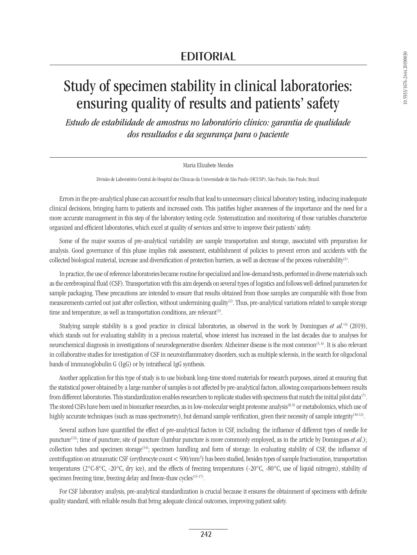# **EDITORIAL**

# Study of specimen stability in clinical laboratories: ensuring quality of results and patients' safety

*Estudo de estabilidade de amostras no laboratório clínico: garantia de qualidade dos resultados e da segurança para o paciente*

## Maria Elizabete Mendes

Divisão de Laboratório Central do Hospital das Clínicas da Universidade de São Paulo (HCUSP), São Paulo, São Paulo, Brazil.

Errors in the pre-analytical phase can account for results that lead to unnecessary clinical laboratory testing, inducing inadequate clinical decisions, bringing harm to patients and increased costs. This justifies higher awareness of the importance and the need for a more accurate management in this step of the laboratory testing cycle. Systematization and monitoring of those variables characterize organized and efficient laboratories, which excel at quality of services and strive to improve their patients' safety.

Some of the major sources of pre-analytical variability are sample transportation and storage, associated with preparation for analysis. Good governance of this phase implies risk assessment, establishment of policies to prevent errors and accidents with the collected biological material, increase and diversification of protection barriers, as well as decrease of the process vulnerability(1).

In practice, the use of reference laboratories became routine for specialized and low-demand tests, performed in diverse materials such as the cerebrospinal fluid (CSF). Transportation with this aim depends on several types of logistics and follows well-defined parameters for sample packaging. These precautions are intended to ensure that results obtained from those samples are comparable with those from measurements carried out just after collection, without undermining quality(2). Thus, pre-analytical variations related to sample storage time and temperature, as well as transportation conditions, are relevant $(3)$ .

Studying sample stability is a good practice in clinical laboratories, as observed in the work by Domingues *et al.*<sup>(4)</sup> (2019), which stands out for evaluating stability in a precious material, whose interest has increased in the last decades due to analyses for neurochemical diagnosis in investigations of neurodegenerative disorders: Alzheimer disease is the most common<sup>(5, 6)</sup>. It is also relevant in collaborative studies for investigation of CSF in neuroinflammatory disorders, such as multiple sclerosis, in the search for oligoclonal bands of immunoglobulin G (IgG) or by intrathecal IgG synthesis.

Another application for this type of study is to use biobank long-time stored materials for research purposes, aimed at ensuring that the statistical power obtained by a large number of samples is not affected by pre-analytical factors, allowing comparisons between results from different laboratories. This standardization enables researchers to replicate studies with specimens that match the initial pilot data<sup>(7)</sup>. The stored CSFs have been used in biomarker researches, as in low-molecular weight proteome analysis<sup>(8,9)</sup> or metabolomics, which use of highly accurate techniques (such as mass spectrometry), but demand sample verification, given their necessity of sample integrity<sup>(10-12)</sup>.

Several authors have quantified the effect of pre-analytical factors in CSF, including: the influence of different types of needle for puncture(13); time of puncture; site of puncture (lumbar puncture is more commonly employed, as in the article by Domingues *et al*.); collection tubes and specimen storage(14); specimen handling and form of storage. In evaluating stability of CSF, the influence of centrifugation on atraumatic CSF (erythrocyte count < 500/mm3 ) has been studied, besides types of sample fractionation, transportation temperatures (2°C-8°C, -20°C, dry ice), and the effects of freezing temperatures (-20°C, -80°C, use of liquid nitrogen), stability of specimen freezing time, freezing delay and freeze-thaw cycles<sup>(15-17)</sup>.

For CSF laboratory analysis, pre-analytical standardization is crucial because it ensures the obtainment of specimens with definite quality standard, with reliable results that bring adequate clinical outcomes, improving patient safety.